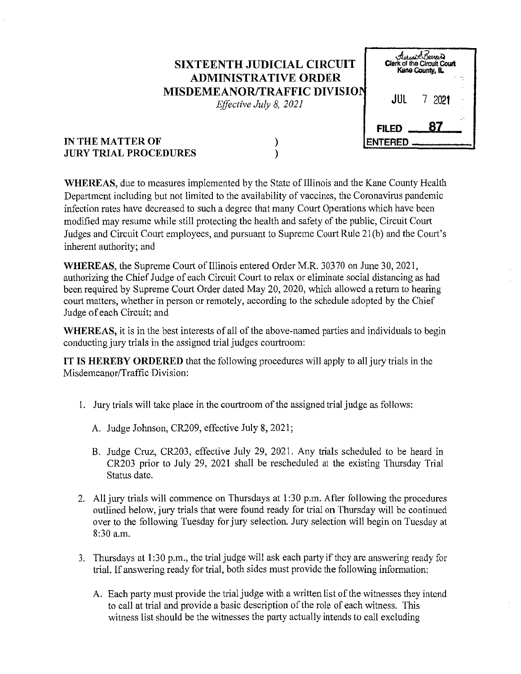## **SIXTEENTH JUDICIAL CIRCUIT ADMINISTRATIVE ORDER MISDEMEANOR/TRAFFIC DIVISIO**

*Effective July 8, 2021* 

| <i>Airman Barres</i><br>Clerk of the Circuit Court<br>Kane County, IL |      |  |  |  |  |
|-----------------------------------------------------------------------|------|--|--|--|--|
| JUL                                                                   | 2021 |  |  |  |  |
| 87<br><b>FILED</b><br>NTERED<br>El                                    |      |  |  |  |  |

## **IN THE MATTER OF JURY TRIAL PROCEDURES**

) )

**WHEREAS,** due to measures implemented by the State of Illinois and the Kane Connty Health Department including but not limited to the availability of vaccines, the Coronavirus pandemic infection rates have decreased to such a degree that many Court Operations which have been modified may resume while still protecting the health and safety of the public, Circuit Court Judges and Circuit Court employees, and pursuant to Supreme Court Rule 21(b) and the Court's inherent authority; and

**WHEREAS,** the Supreme Court of Illinois entered Order M.R. 30370 on June 30,2021, authorizing the Chief Judge of each Circuit Court to relax or eliminate social distancing as had been required by Supreme Court Order dated May 20, 2020, which allowed a return to hearing court matters, whether in person or remotely, according to the schedule adopted by the Chief Judge of each Circuit; and

**WHEREAS,** it is in the best interests of all of the above-named parties and individuals to begin conducting jury trials in the assigned trial judges courtroom:

**IT IS HEREBY ORDERED** that the following procedures will apply to all jury trials in the Misdemeanor/Traffic Division:

- 1. Jury trials will take place in the courtroom of the assigned trial judge as follows:
	- A. Judge Johnson, CR209, effective July 8, 2021;
	- B. Judge Cruz, CR203, effective July 29, 2021. Any trials scheduled to be heard in CR203 prior to July 29, 2021 shall be rescheduled at the existing Thursday Trial Status date.
- 2. All jury trials will commence on Thursdays at 1:30 p.m. After following the procedures outlined below, jury trials that were found ready for trial on Thursday will be continued over to the following Tuesday for jury selection. Jury selection will begin on Tuesday at 8:30a.m.
- 3. Thursdays at 1:30 p.m., the trial judge will ask each party if they are answering ready for trial. If answering ready for trial, both sides must provide the following information:
	- A. Each party must provide the trial judge with a written list of the witnesses they intend to call at trial and provide a basic description of the role of each witness. This witness list should be the witnesses the party actually intends to call excluding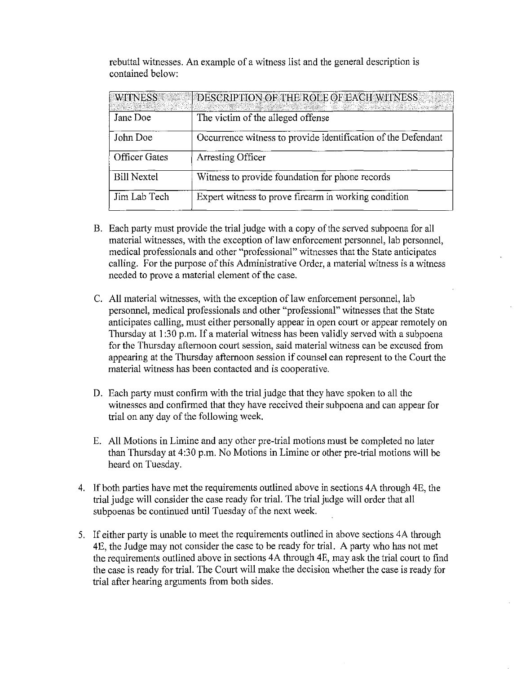|                  | rebuttal witnesses. An example of a witness list and the general description is |  |  |  |
|------------------|---------------------------------------------------------------------------------|--|--|--|
| contained below: |                                                                                 |  |  |  |

| <b>WITNESS</b>       | DESCRIPTION OF THE ROLE OF EACH WITNESS                       |
|----------------------|---------------------------------------------------------------|
| Jane Doe             | The victim of the alleged offense                             |
| John Doe             | Occurrence witness to provide identification of the Defendant |
| <b>Officer Gates</b> | Arresting Officer                                             |
| <b>Bill Nextel</b>   | Witness to provide foundation for phone records               |
| Jim Lab Tech         | Expert witness to prove firearm in working condition          |

- B. Each party must provide the trial judge with a copy of the served subpoena for all material witnesses, with the exception of law enforcement personnel, lab personnel, medical professionals and other "professional" witnesses that the State anticipates calling. For the purpose of this Administrative Order, a material witness is a witness needed to prove a material element of the case.
- C. All material witnesses, with the exception of law enforcement personnel, lab personnel, medical professionals and other "professional" witnesses that the State anticipates calling, must either personally appear in open court or appear remotely on Thursday at 1:30 p.m. If a material witness has been validly served with a subpoena for the Thursday afternoon court session, said material witness can be excused from appearing at the Thursday afternoon session if counsel can represent to the Court the material witness has been contacted and is cooperative.
- D. Each party must confirm with the trial judge that they have spoken to all the witnesses and confirmed that they have received their subpoena and can appear for trial on any day of the following week.
- E. All Motions in Limine and any other pre-trial motions must be completed no later than Thursday at 4:30 p.m. No Motions in Limine or other pre-trial motions will be heard on Tuesday.
- 4. If both parties have met the requirements outlined above in sections 4A through 4E, the trial judge will consider the case ready for trial. The trial judge will order that all subpoenas be continued until Tuesday of the next week.
- 5. If either party is unable to meet the requirements outlined in above sections 4A through 4E, the Judge may not consider the case to be ready for trial. A party who has not met the requirements outlined above in sections 4A through 4E, may ask the trial court to find the case is ready for trial. The Court will make the decision whether the case is ready for trial after hearing arguments from both sides.